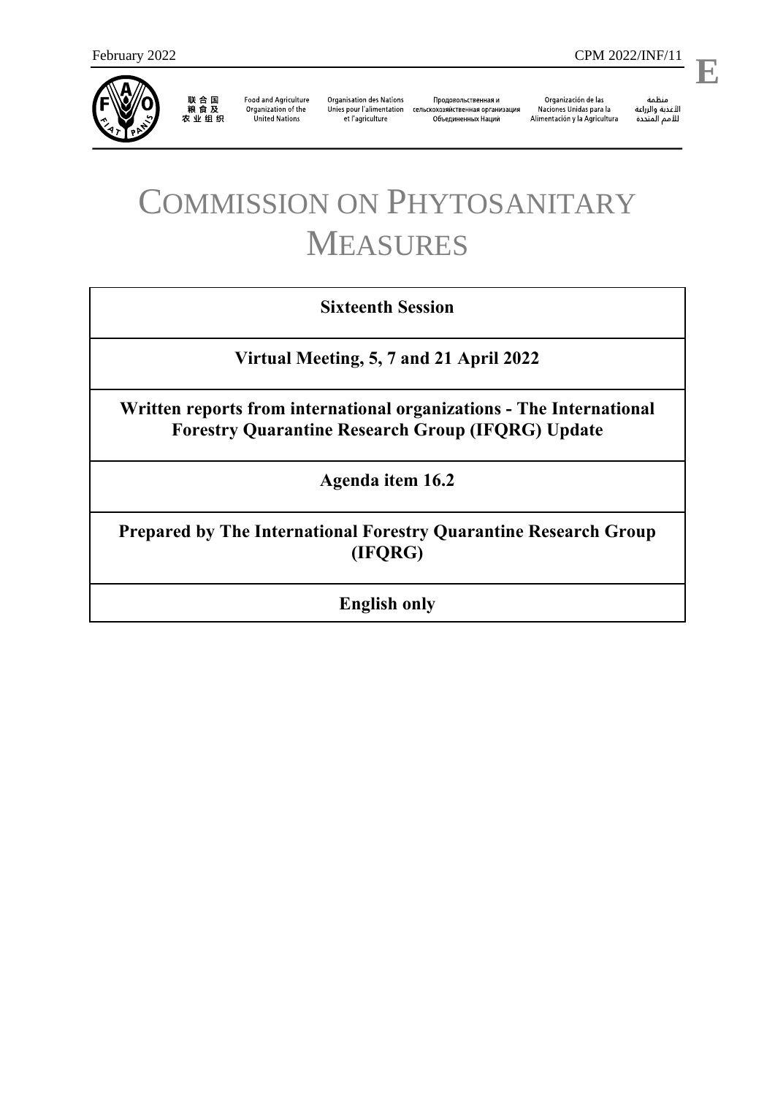

联合国<br>粮食及<br>农业组织

**Food and Agriculture** Organization of the **United Nations** 

**Organisation des Nations** et l'agriculture

Продовольственная и Unies pour l'alimentation сельскохозяйственная организация Объединенных Наций

Organización de las Naciones Unidas para la Alimentación y la Agricultura

منظمة ستنسه<br>الأغذية والزراعة<br>للأمم المتددة

l,

**E**

## COMMISSION ON PHYTOSANITARY MEASURES

## **Sixteenth Session**

**Virtual Meeting, 5, 7 and 21 April 2022**

**Written reports from international organizations - The International Forestry Quarantine Research Group (IFQRG) Update**

**Agenda item 16.2**

**Prepared by The International Forestry Quarantine Research Group (IFQRG)**

**English only**